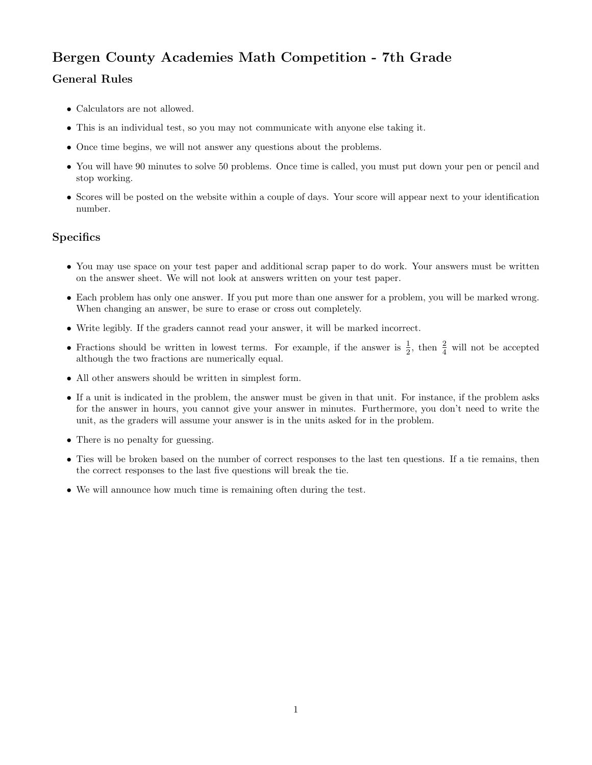## Bergen County Academies Math Competition - 7th Grade

## General Rules

- Calculators are not allowed.
- This is an individual test, so you may not communicate with anyone else taking it.
- Once time begins, we will not answer any questions about the problems.
- You will have 90 minutes to solve 50 problems. Once time is called, you must put down your pen or pencil and stop working.
- Scores will be posted on the website within a couple of days. Your score will appear next to your identification number.

## **Specifics**

- You may use space on your test paper and additional scrap paper to do work. Your answers must be written on the answer sheet. We will not look at answers written on your test paper.
- Each problem has only one answer. If you put more than one answer for a problem, you will be marked wrong. When changing an answer, be sure to erase or cross out completely.
- Write legibly. If the graders cannot read your answer, it will be marked incorrect.
- Fractions should be written in lowest terms. For example, if the answer is  $\frac{1}{2}$ , then  $\frac{2}{4}$  will not be accepted although the two fractions are numerically equal.
- All other answers should be written in simplest form.
- If a unit is indicated in the problem, the answer must be given in that unit. For instance, if the problem asks for the answer in hours, you cannot give your answer in minutes. Furthermore, you don't need to write the unit, as the graders will assume your answer is in the units asked for in the problem.
- There is no penalty for guessing.
- Ties will be broken based on the number of correct responses to the last ten questions. If a tie remains, then the correct responses to the last five questions will break the tie.
- We will announce how much time is remaining often during the test.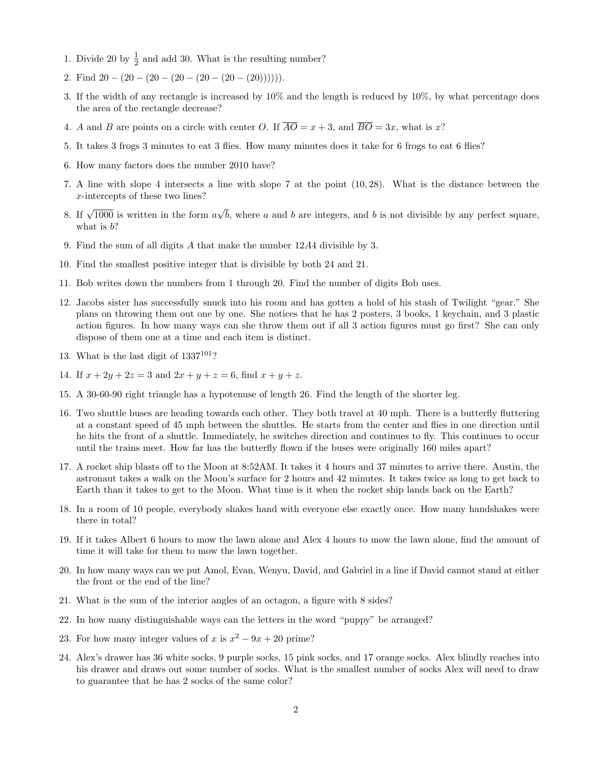- 1. Divide 20 by  $\frac{1}{2}$  and add 30. What is the resulting number?
- 2. Find  $20 (20 (20 (20 (20 (20 (20))))$ .
- 3. If the width of any rectangle is increased by 10% and the length is reduced by 10%, by what percentage does the area of the rectangle decrease?
- 4. A and B are points on a circle with center O. If  $\overline{AO} = x + 3$ , and  $\overline{BO} = 3x$ , what is x?
- 5. It takes 3 frogs 3 minutes to eat 3 flies. How many minutes does it take for 6 frogs to eat 6 flies?
- 6. How many factors does the number 2010 have?
- 7. A line with slope 4 intersects a line with slope 7 at the point (10, 28). What is the distance between the x-intercepts of these two lines?
- 8. If  $\sqrt{1000}$  is written in the form a √ b, where  $a$  and  $b$  are integers, and  $b$  is not divisible by any perfect square, what is  $b$ ?
- 9. Find the sum of all digits A that make the number 12A4 divisible by 3.
- 10. Find the smallest positive integer that is divisible by both 24 and 21.
- 11. Bob writes down the numbers from 1 through 20. Find the number of digits Bob uses.
- 12. Jacobs sister has successfully snuck into his room and has gotten a hold of his stash of Twilight "gear." She plans on throwing them out one by one. She notices that he has 2 posters, 3 books, 1 keychain, and 3 plastic action figures. In how many ways can she throw them out if all 3 action figures must go first? She can only dispose of them one at a time and each item is distinct.
- 13. What is the last digit of  $1337^{101}$ ?
- 14. If  $x + 2y + 2z = 3$  and  $2x + y + z = 6$ , find  $x + y + z$ .
- 15. A 30-60-90 right triangle has a hypotenuse of length 26. Find the length of the shorter leg.
- 16. Two shuttle buses are heading towards each other. They both travel at 40 mph. There is a butterfly fluttering at a constant speed of 45 mph between the shuttles. He starts from the center and flies in one direction until he hits the front of a shuttle. Immediately, he switches direction and continues to fly. This continues to occur until the trains meet. How far has the butterfly flown if the buses were originally 160 miles apart?
- 17. A rocket ship blasts off to the Moon at 8:52AM. It takes it 4 hours and 37 minutes to arrive there. Austin, the astronaut takes a walk on the Moon's surface for 2 hours and 42 minutes. It takes twice as long to get back to Earth than it takes to get to the Moon. What time is it when the rocket ship lands back on the Earth?
- 18. In a room of 10 people, everybody shakes hand with everyone else exactly once. How many handshakes were there in total?
- 19. If it takes Albert 6 hours to mow the lawn alone and Alex 4 hours to mow the lawn alone, find the amount of time it will take for them to mow the lawn together.
- 20. In how many ways can we put Amol, Evan, Wenyu, David, and Gabriel in a line if David cannot stand at either the front or the end of the line?
- 21. What is the sum of the interior angles of an octagon, a figure with 8 sides?
- 22. In how many distinguishable ways can the letters in the word "puppy" be arranged?
- 23. For how many integer values of x is  $x^2 9x + 20$  prime?
- 24. Alex's drawer has 36 white socks, 9 purple socks, 15 pink socks, and 17 orange socks. Alex blindly reaches into his drawer and draws out some number of socks. What is the smallest number of socks Alex will need to draw to guarantee that he has 2 socks of the same color?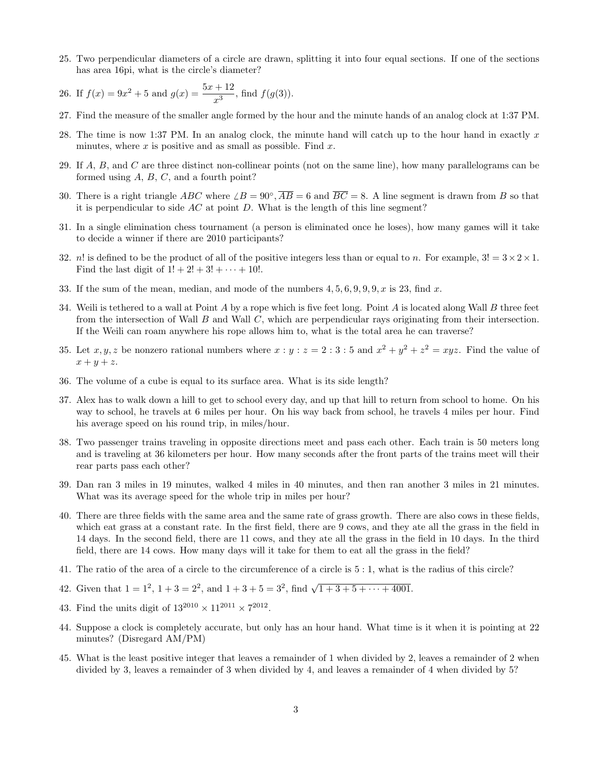25. Two perpendicular diameters of a circle are drawn, splitting it into four equal sections. If one of the sections has area 16pi, what is the circle's diameter?

26. If 
$$
f(x) = 9x^2 + 5
$$
 and  $g(x) = \frac{5x + 12}{x^3}$ , find  $f(g(3))$ .

- 27. Find the measure of the smaller angle formed by the hour and the minute hands of an analog clock at 1:37 PM.
- 28. The time is now 1:37 PM. In an analog clock, the minute hand will catch up to the hour hand in exactly x minutes, where  $x$  is positive and as small as possible. Find  $x$ .
- 29. If  $A, B$ , and  $C$  are three distinct non-collinear points (not on the same line), how many parallelograms can be formed using  $A, B, C$ , and a fourth point?
- 30. There is a right triangle  $ABC$  where  $\angle B = 90^\circ$ ,  $\overline{AB} = 6$  and  $\overline{BC} = 8$ . A line segment is drawn from B so that it is perpendicular to side  $AC$  at point  $D$ . What is the length of this line segment?
- 31. In a single elimination chess tournament (a person is eliminated once he loses), how many games will it take to decide a winner if there are 2010 participants?
- 32. n! is defined to be the product of all of the positive integers less than or equal to n. For example,  $3! = 3 \times 2 \times 1$ . Find the last digit of  $1! + 2! + 3! + \cdots + 10!$ .
- 33. If the sum of the mean, median, and mode of the numbers  $4, 5, 6, 9, 9, 9, x$  is 23, find x.
- 34. Weili is tethered to a wall at Point  $A$  by a rope which is five feet long. Point  $A$  is located along Wall  $B$  three feet from the intersection of Wall  $B$  and Wall  $C$ , which are perpendicular rays originating from their intersection. If the Weili can roam anywhere his rope allows him to, what is the total area he can traverse?
- 35. Let  $x, y, z$  be nonzero rational numbers where  $x : y : z = 2 : 3 : 5$  and  $x^2 + y^2 + z^2 = xyz$ . Find the value of  $x + y + z$ .
- 36. The volume of a cube is equal to its surface area. What is its side length?
- 37. Alex has to walk down a hill to get to school every day, and up that hill to return from school to home. On his way to school, he travels at 6 miles per hour. On his way back from school, he travels 4 miles per hour. Find his average speed on his round trip, in miles/hour.
- 38. Two passenger trains traveling in opposite directions meet and pass each other. Each train is 50 meters long and is traveling at 36 kilometers per hour. How many seconds after the front parts of the trains meet will their rear parts pass each other?
- 39. Dan ran 3 miles in 19 minutes, walked 4 miles in 40 minutes, and then ran another 3 miles in 21 minutes. What was its average speed for the whole trip in miles per hour?
- 40. There are three fields with the same area and the same rate of grass growth. There are also cows in these fields, which eat grass at a constant rate. In the first field, there are 9 cows, and they ate all the grass in the field in 14 days. In the second field, there are 11 cows, and they ate all the grass in the field in 10 days. In the third field, there are 14 cows. How many days will it take for them to eat all the grass in the field?
- 41. The ratio of the area of a circle to the circumference of a circle is 5 : 1, what is the radius of this circle?
- 42. Given that  $1 = 1^2$ ,  $1 + 3 = 2^2$ , and  $1 + 3 + 5 = 3^2$ , find  $\sqrt{1 + 3 + 5 + \cdots + 4001}$ .
- 43. Find the units digit of  $13^{2010} \times 11^{2011} \times 7^{2012}$ .
- 44. Suppose a clock is completely accurate, but only has an hour hand. What time is it when it is pointing at 22 minutes? (Disregard AM/PM)
- 45. What is the least positive integer that leaves a remainder of 1 when divided by 2, leaves a remainder of 2 when divided by 3, leaves a remainder of 3 when divided by 4, and leaves a remainder of 4 when divided by 5?